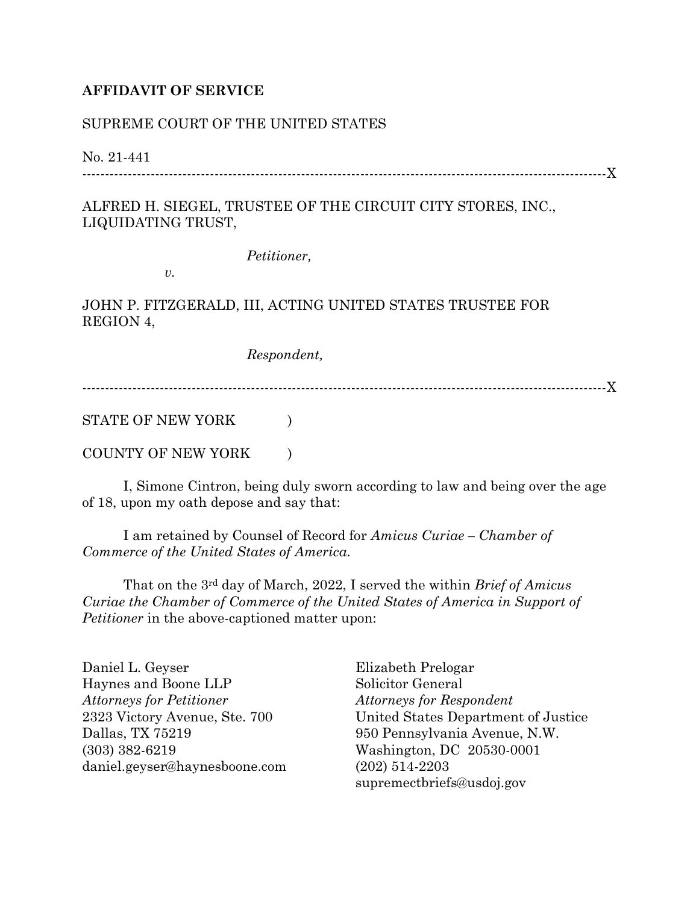## **AFFIDAVIT OF SERVICE**

## SUPREME COURT OF THE UNITED STATES

## No. 21-441

-------------------------------------------------------------------------------------------------------------------X

## ALFRED H. SIEGEL, TRUSTEE OF THE CIRCUIT CITY STORES, INC., LIQUIDATING TRUST,

*Petitioner,*

*v.*

JOHN P. FITZGERALD, III, ACTING UNITED STATES TRUSTEE FOR REGION 4,

*Respondent,*

-------------------------------------------------------------------------------------------------------------------X

STATE OF NEW YORK  $\qquad \qquad$  )

COUNTY OF NEW YORK  $\qquad$  )

I, Simone Cintron, being duly sworn according to law and being over the age of 18, upon my oath depose and say that:

I am retained by Counsel of Record for *Amicus Curiae – Chamber of Commerce of the United States of America.* 

That on the 3rd day of March, 2022, I served the within *Brief of Amicus Curiae the Chamber of Commerce of the United States of America in Support of Petitioner* in the above-captioned matter upon:

Daniel L. Geyser Haynes and Boone LLP *Attorneys for Petitioner* 2323 Victory Avenue, Ste. 700 Dallas, TX 75219 (303) 382-6219 daniel.geyser@haynesboone.com

Elizabeth Prelogar Solicitor General *Attorneys for Respondent* United States Department of Justice 950 Pennsylvania Avenue, N.W. Washington, DC 20530-0001 (202) 514-2203 supremectbriefs@usdoj.gov